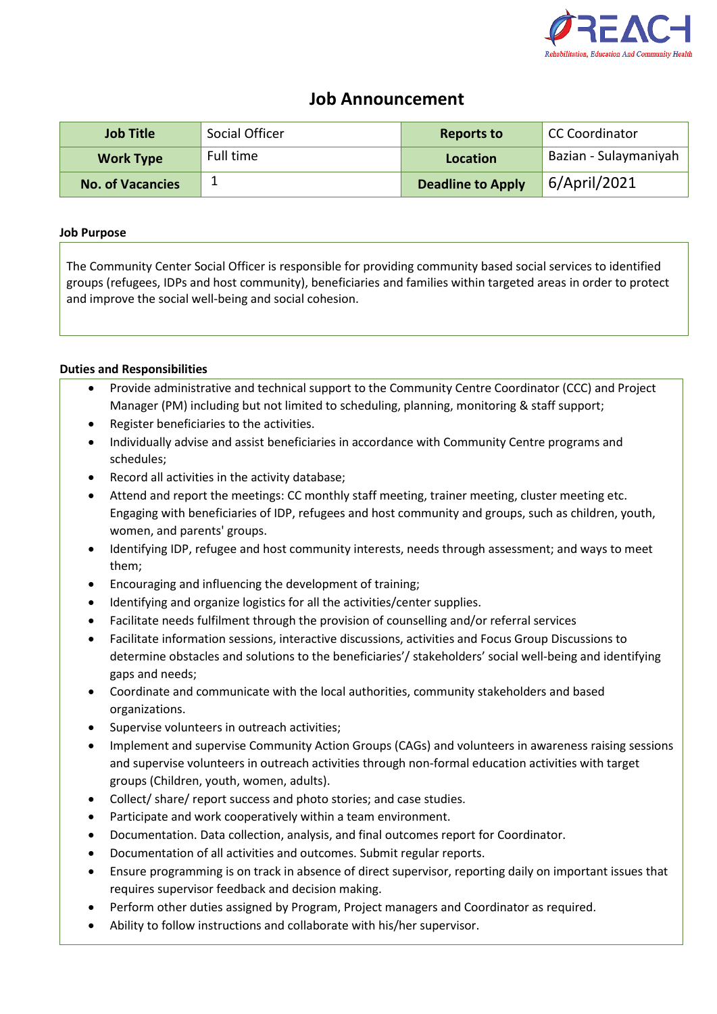

## **Job Announcement**

| <b>Job Title</b>        | Social Officer | <b>Reports to</b>        | CC Coordinator        |
|-------------------------|----------------|--------------------------|-----------------------|
| <b>Work Type</b>        | Full time      | Location                 | Bazian - Sulaymaniyah |
| <b>No. of Vacancies</b> | ┻              | <b>Deadline to Apply</b> | 6/April/2021          |

## **Job Purpose**

The Community Center Social Officer is responsible for providing community based social services to identified groups (refugees, IDPs and host community), beneficiaries and families within targeted areas in order to protect and improve the social well-being and social cohesion.

## **Duties and Responsibilities**

- Provide administrative and technical support to the Community Centre Coordinator (CCC) and Project Manager (PM) including but not limited to scheduling, planning, monitoring & staff support;
- Register beneficiaries to the activities.
- Individually advise and assist beneficiaries in accordance with Community Centre programs and schedules;
- Record all activities in the activity database;
- Attend and report the meetings: CC monthly staff meeting, trainer meeting, cluster meeting etc. Engaging with beneficiaries of IDP, refugees and host community and groups, such as children, youth, women, and parents' groups.
- Identifying IDP, refugee and host community interests, needs through assessment; and ways to meet them;
- Encouraging and influencing the development of training;
- Identifying and organize logistics for all the activities/center supplies.
- Facilitate needs fulfilment through the provision of counselling and/or referral services
- Facilitate information sessions, interactive discussions, activities and Focus Group Discussions to determine obstacles and solutions to the beneficiaries'/ stakeholders' social well-being and identifying gaps and needs;
- Coordinate and communicate with the local authorities, community stakeholders and based organizations.
- Supervise volunteers in outreach activities;
- Implement and supervise Community Action Groups (CAGs) and volunteers in awareness raising sessions and supervise volunteers in outreach activities through non-formal education activities with target groups (Children, youth, women, adults).
- Collect/ share/ report success and photo stories; and case studies.
- Participate and work cooperatively within a team environment.
- Documentation. Data collection, analysis, and final outcomes report for Coordinator.
- Documentation of all activities and outcomes. Submit regular reports.
- Ensure programming is on track in absence of direct supervisor, reporting daily on important issues that requires supervisor feedback and decision making.
- Perform other duties assigned by Program, Project managers and Coordinator as required.
- Ability to follow instructions and collaborate with his/her supervisor.